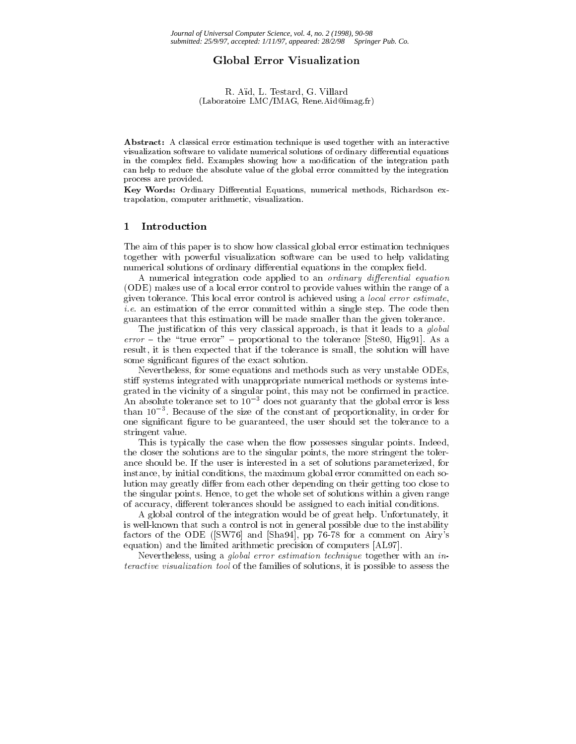# Global Error Visualization

### R. Ad, L. Testard, G. Villard (Laboratoire LMC/IMAG, Rene.Aid@imag.fr)

Abstract: A classical error estimation technique is used together with an interactive visualization software to validate numerical solutions of ordinary differential equations in the complex field. Examples showing how a modification of the integration path can help to reduce the absolute value of the global error committed by the integration process are provided.

Key Words: Ordinary Differential Equations, numerical methods, Richardson extrapolation, computer arithmetic, visualization.

### $\mathbf{1}$ **Introduction**

The aim of this paper is to show how classical global error estimation techniques together with powerful visualization software can be used to help validating numerical solutions of ordinary differential equations in the complex field.

A numerical integration code applied to an *ordinary differential equation* (ODE) makes use of a local error control to provide values within the range of a given tolerance. This local error control is achieved using a local error estimate, i.e. an estimation of the error committed within a single step. The code then guarantees that this estimation will be made smaller than the given tolerance.

The justification of this very classical approach, is that it leads to a *global* error and the the the tolerance proportional to the tolerance [Ste80, Higgs]. As a as a result, it is then expected that if the tolerance is small, the solution will have some significant figures of the exact solution.

Nevertheless, for some equations and methods such as very unstable ODEs, stiff systems integrated with unappropriate numerical methods or systems integrated in the vicinity of a singular point, this may not be confirmed in practice. An absolute tolerance set to  $10^{-3}$  does not guaranty that the global error is less than 103 . Because of the size of the constant of proportionality, in order for one signicant gure to be guaranteed, the user should set the tolerance to a stringent value.

This is typically the case when the flow possesses singular points. Indeed, the closer the solutions are to the singular points, the more stringent the tolerance should be. If the user is interested in a set of solutions parameterized, for instance, by initial conditions, the maximum global error committed on each solution may greatly differ from each other depending on their getting too close to the singular points. Hence, to get the whole set of solutions within a given range of accuracy, different tolerances should be assigned to each initial conditions.

A global control of the integration would be of great help. Unfortunately, it is well-known that such a control is not in general possible due to the instability factors of the ODE ([SW76] and [Sha94], pp 76-78 for a comment on Airy's equation) and the limited arithmetic precision of computers [AL97].

Nevertheless, using a global error estimation technique together with an interactive visualization tool of the families of solutions, it is possible to assess the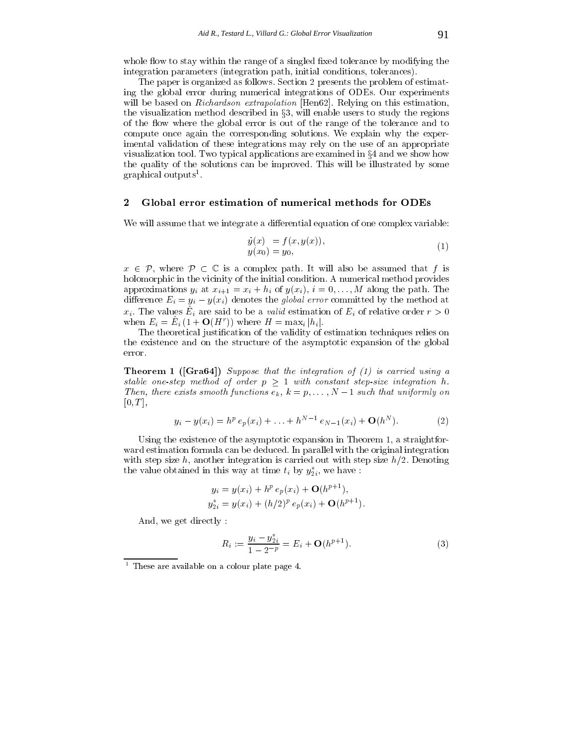whole flow to stay within the range of a singled fixed tolerance by modifying the integration parameters (integration path, initial conditions, tolerances).

The paper is organized as follows. Section 2 presents the problem of estimating the global error during numerical integrations of ODEs. Our experiments will be based on Richardson extrapolation [Hen62]. Relying on this estimation, the visualization method described in  $\S3$ , will enable users to study the regions of the flow where the global error is out of the range of the tolerance and to compute once again the corresponding solutions. We explain why the experimental validation of these integrations may rely on the use of an appropriate visualization tool. Two typical applications are examined in  $\S 4$  and we show how the quality of the solutions can be improved. This will be illustrated by some graphical outputs".

# 2 Global error estimation of numerical methods for ODEs

We will assume that we integrate a differential equation of one complex variable:

$$
\dot{y}(x) = f(x, y(x)), \n y(x_0) = y_0,
$$
\n(1)

<sup>x</sup> 2 P, where P <sup>C</sup> is <sup>a</sup> complex path. It will also be assumed that <sup>f</sup> is holomorphic in the vicinity of the initial condition. A numerical method provides approximations  $y_i$  at  $x_{i+1} = x_i + h_i$  of  $y(x_i)$ ,  $i = 0, \ldots, M$  along the path. The difference  $E_i = y_i - y(x_i)$  denotes the global error committed by the method at  $x_i$ . The values  $E_i$  are said to be a *valid* estimation of  $E_i$  or relative order  $r > 0$ when  $E_i = E_i (1 + \mathbf{O}(H))$  where  $H = \max_i |h_i|$ .

The theoretical justication of the validity of estimation techniques relies on the existence and on the structure of the asymptotic expansion of the global error.

**Theorem 1** ( $[Gra64]$ ) Suppose that the integration of (1) is carried using a stable one-step method of order <sup>p</sup> <sup>1</sup> with constant step-size integration h. Then, there exists smooth functions  $e_k$ ,  $\kappa = p, \ldots, N-1$  such that uniformly on  $[0, T],$ 

$$
y_i - y(x_i) = h^p e_p(x_i) + \ldots + h^{N-1} e_{N-1}(x_i) + \mathbf{O}(h^N). \tag{2}
$$

Using the existence of the asymptotic expansion in Theorem 1, a straightfor ward estimation formula can be deduced. In parallel with the original integration with step size h, another integration is carried out with step size  $h/2$ . Denoting the value obtained in this way at time  $t_i$  by  $y_{2i}$ , we have:

$$
y_i = y(x_i) + h^p e_p(x_i) + \mathbf{O}(h^{p+1}),
$$
  
\n
$$
y_{2i}^* = y(x_i) + (h/2)^p e_p(x_i) + \mathbf{O}(h^{p+1}).
$$

And, we get directly :

$$
R_i := \frac{y_i - y_{2i}^*}{1 - 2^{-p}} = E_i + \mathbf{O}(h^{p+1}).
$$
\n(3)

<sup>1</sup> These are available on a colour plate page 4.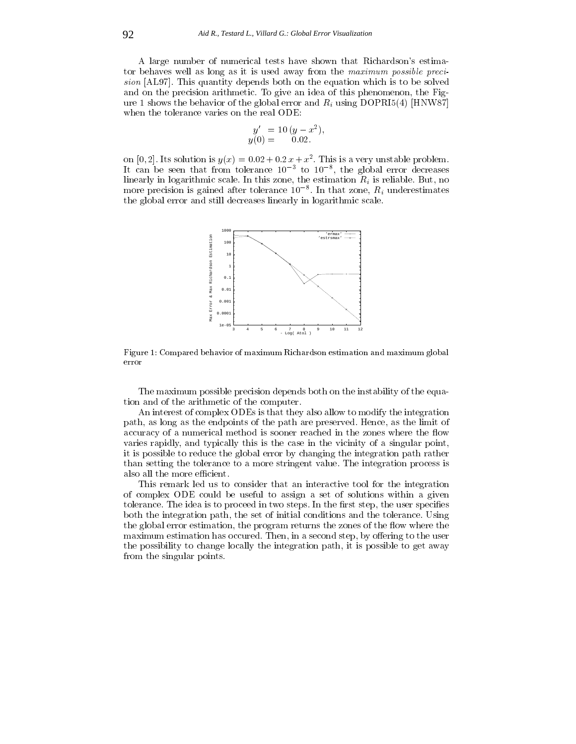A large number of numerical tests have shown that Richardson's estimator behaves well as long as it is used away from the maximum possible precision [AL97]. This quantity depends both on the extension which is to be solved by the equation which is to be and on the precision arithmetic. To give an idea of this phenomenon, the Figure 1 shows the behavior of the global error and  $R_i$  using DOPRI5(4) [HNW87] when the tolerance varies on the real ODE:

$$
y' = 10 (y - x^2),
$$
  
y(0) = 0.02.

on  $[0, 2]$ . Its solution is  $y(x) = 0.02 + 0.2 x + x$ . I his is a very unstable problem. It can be seen that from tolerance 103 to 108 , the global error decreases linearly in logarithmic scale. In this zone, the estimation  $R_i$  is reliable. But, no more precision is gained after tolerance 10  $\,$  . In that zone,  $R_i$  underestimates the global error and still decreases linearly in logarithmic scale.



Figure 1: Compared behavior of maximum Richardson estimation and maximum global

The maximum possible precision depends both on the instability of the equation and of the arithmetic of the computer.

An interest of complex ODEs is that they also allow to modify the integration path, as long as the endpoints of the path are preserved. Hence, as the limit of accuracy of a numerical method is sooner reached in the zones where the flow varies rapidly, and typically this is the case in the vicinity of a singular point, it is possible to reduce the global error by changing the integration path rather than setting the tolerance to a more stringent value. The integration process is also all the more efficient.

This remark led us to consider that an interactive tool for the integration of complex ODE could be useful to assign a set of solutions within a given tolerance. The idea is to proceed in two steps. In the first step, the user specifies both the integration path, the set of initial conditions and the tolerance. Using the global error estimation, the program returns the zones of the flow where the maximum estimation has occured. Then, in a second step, by offering to the user the possibility to change locally the integration path, it is possible to get away from the singular points.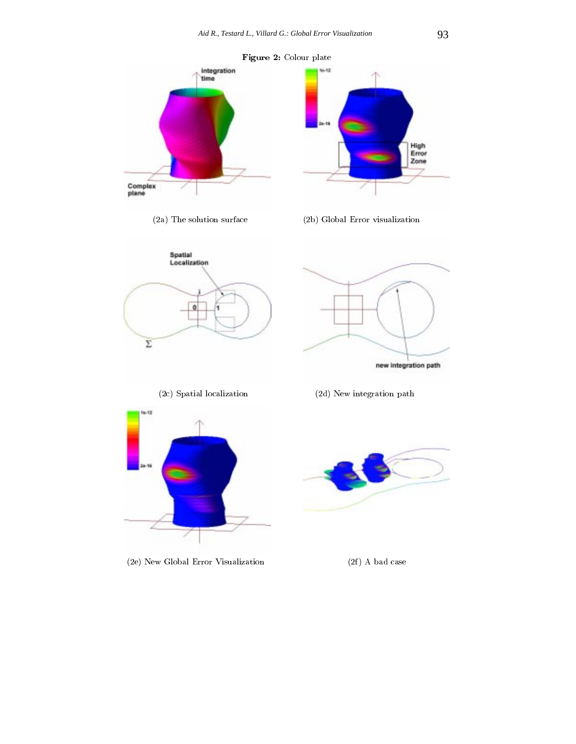

(2e) New Global Error Visualization (2f) A bad case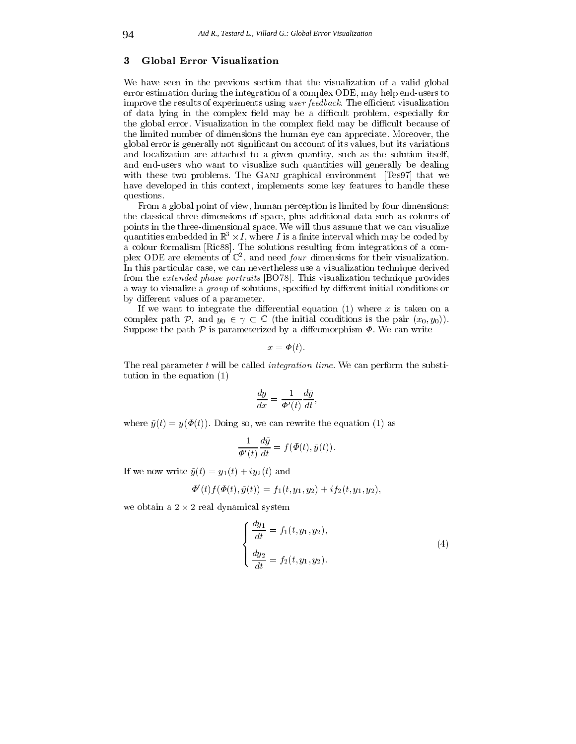#### $\overline{\mathbf{3}}$ Global Error Visualization

We have seen in the previous section that the visualization of a valid global error estimation during the integration of a complex ODE, may help end-users to improve the results of experiments using user feedback. The efficient visualization of data lying in the complex field may be a difficult problem, especially for the global error. Visualization in the complex field may be difficult because of the limited number of dimensions the human eye can appreciate. Moreover, the global error is generally not signicant on account of its values, but its variations and localization are attached to a given quantity, such as the solution itself, and end-users who want to visualize such quantities will generally be dealing with these two problems. The GANJ graphical environment [Tes97] that we have developed in this context, implements some key features to handle these questions.

From a global point of view, human perception is limited by four dimensions: the classical three dimensions of space, plus additional data such as colours of points in the three-dimensional space. We will thus assume that we can visualize quantities embedded in  $\mathbb{R}^+ \times I$ , where T is a nime interval which may be coded by a colour formalism [Ric88]. The solutions resulting from integrations of a com- $\mathbf{p}$  plex ODE are elements of  $\mathbb{C}^+$ , and need *four* dimensions for their visualization. In this particular case, we can nevertheless use a visualization technique derived from the extended phase portraits [BO78]. This visualization technique provides a way to visualize a *group* of solutions, specified by different initial conditions or by different values of a parameter.

If we want to integrate the differential equation  $(1)$  where x is taken on a complex path <sup>P</sup>, and y0 <sup>2</sup> <sup>C</sup> (the initial conditions is the pair (x0; y0)). Suppose the path  $P$  is parameterized by a diffeomorphism  $\Phi$ . We can write

$$
x = \Phi(t).
$$

The real parameter  $t$  will be called *integration time*. We can perform the substitution in the equation (1)

$$
\frac{dy}{dx} = \frac{1}{\Phi'(t)} \frac{d\tilde{y}}{dt},
$$

where  $\tilde{y}(t) = y(\Phi(t))$ . Doing so, we can rewrite the equation (1) as

$$
\frac{1}{\Phi'(t)}\frac{d\tilde{y}}{dt} = f(\Phi(t), \tilde{y}(t)).
$$

If we now write  $\tilde{y}(t) = y_1(t) + iy_2(t)$  and

$$
\Phi'(t)f(\Phi(t),\tilde{y}(t)) = f_1(t,y_1,y_2) + if_2(t,y_1,y_2),
$$

 $\ldots$  2 real dynamical system is  $\mu$  , and a 2 real dynamical system is  $\mu$ 

$$
\begin{cases}\n\frac{dy_1}{dt} = f_1(t, y_1, y_2), \\
\frac{dy_2}{dt} = f_2(t, y_1, y_2).\n\end{cases}
$$
\n(4)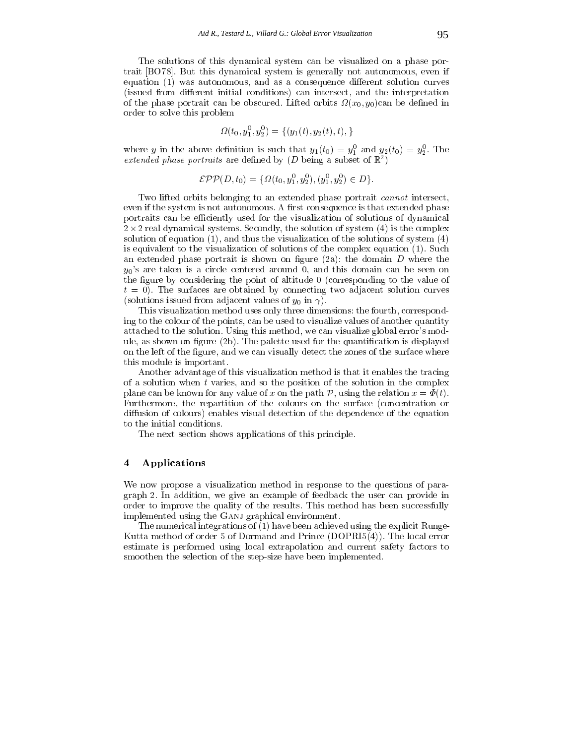The solutions of this dynamical system can be visualized on a phase portrait [BO78]. But this dynamical system is generally not autonomous, even if equation  $(1)$  was autonomous, and as a consequence different solution curves (issued from different initial conditions) can intersect, and the interpretation of the phase portrait can be obscured. Lifted orbits (x0; y0)can be dened in order to solve this problem

$$
\Omega(t_0, y_1^0, y_2^0) = \{(y_1(t), y_2(t), t), \}
$$

where y in the above definition is such that  $y_1(t_0) = y_1$  and  $y_2(t_0) = y_2$ . The extended phase portraits are defined by  $(D)$  being a subset of  $\mathbb{R}^+$ )

$$
\mathcal{EPP}(D, t_0) = \{ \Omega(t_0, y_1^0, y_2^0), (y_1^0, y_2^0) \in D \}.
$$

Two lifted orbits belonging to an extended phase portrait *cannot* intersect, even if the system is not autonomous. A first consequence is that extended phase portraits can be efficiently used for the visualization of solutions of dynamical  $2\cdot$  real dynamical systems. Secondly, the solution of system (4) is the complexed  $\cdot$ solution of equation  $(1)$ , and thus the visualization of the solutions of system  $(4)$ is equivalent to the visualization of solutions of the complex equation (1). Such an extended phase portrait is shown on figure (2a): the domain  $D$  where the  $y_0$ 's are taken is a circle centered around 0, and this domain can be seen on the figure by considering the point of altitude  $\theta$  (corresponding to the value of  $t = 0$ ). The surfaces are obtained by connecting two adjacent solution curves (solutions issued from adjacent values of  $y_0$  in  $\gamma$ ).

This visualization method uses only three dimensions: the fourth, corresponding to the colour of the points, can be used to visualize values of another quantity attached to the solution. Using this method, we can visualize global error's module, as shown on figure  $(2b)$ . The palette used for the quantification is displayed on the left of the figure, and we can visually detect the zones of the surface where this module is important.

Another advantage of this visualization method is that it enables the tracing of a solution when  $t$  varies, and so the position of the solution in the complex plane can be known for any value of x on the path  $P$ , using the relation  $x = \Phi(t)$ . Furthermore, the repartition of the colours on the surface (concentration or diffusion of colours) enables visual detection of the dependence of the equation to the initial conditions.

The next section shows applications of this principle.

# 4 Applications

We now propose a visualization method in response to the questions of paragraph 2. In addition, we give an example of feedback the user can provide in order to improve the quality of the results. This method has been successfully implemented using the GANJ graphical environment.

The numerical integrations of (1) have been achieved using the explicit Runge-Kutta method of order 5 of Dormand and Prince (DOPRI5(4)). The local error estimate is performed using local extrapolation and current safety factors to smoothen the selection of the step-size have been implemented.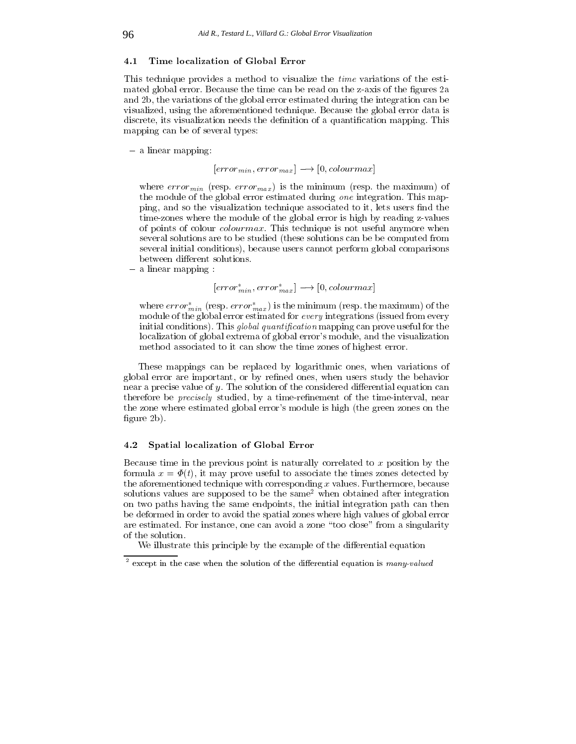## 4.1 Time localization of Global Error

This technique provides a method to visualize the time variations of the estimated global error. Because the time can be read on the z-axis of the figures 2a and 2b, the variations of the global error estimated during the integration can be visualized, using the aforementioned technique. Because the global error data is discrete, its visualization needs the denition of a quantication mapping. This mapping can be of several types:

 $-$  a linear mapping:

 $[error_{min}, error_{max}] \longrightarrow [0, colourmax]$ 

where  $error_{min}$  (resp.  $error_{max}$ ) is the minimum (resp. the maximum) of the module of the global error estimated during one integration. This mapping, and so the visualization technique associated to it, lets users find the time-zones where the module of the global error is high by reading z-values of points of colour colourmax. This technique is not useful anymore when several solutions are to be studied (these solutions can be be computed from several initial conditions), because users cannot perform global comparisons between different solutions.

 $-$  a linear mapping :

 $[error^*_{min}, error^*_{max}] \longrightarrow [0, colourmax]$ 

where  $error_{min}^*$  (resp.  $error_{max}^*$ ) is the minimum (resp. the maximum) of the module of the global error estimated for every integrations (issued from every initial conditions). This *global quantification* mapping can prove useful for the localization of global extrema of global error's module, and the visualization method associated to it can show the time zones of highest error.

These mappings can be replaced by logarithmic ones, when variations of global error are important, or by refined ones, when users study the behavior near a precise value of  $y$ . The solution of the considered differential equation can therefore be *precisely* studied, by a time-refinement of the time-interval, near the zone where estimated global error's module is high (the green zones on the figure  $2b$ ).

# 4.2 Spatial localization of Global Error

Because time in the previous point is naturally correlated to  $x$  position by the formula  $x = \Phi(t)$ , it may prove useful to associate the times zones detected by the aforementioned technique with corresponding  $x$  values. Furthermore, because solutions values are supposed to be the same<sup>2</sup> when obtained after integration on two paths having the same endpoints, the initial integration path can then be deformed in order to avoid the spatial zones where high values of global error are estimated. For instance, one can avoid a zone \too close" from a singularity of the solution.

We illustrate this principle by the example of the differential equation

except in the case when the solution of the differential equation is  $many\text{-}value$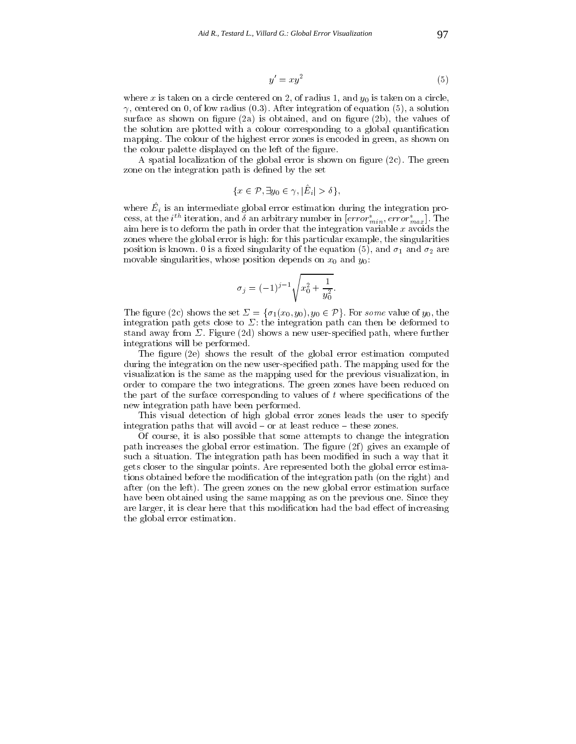$$
y' = xy^2 \tag{5}
$$

where x is taken on a circle centered on 2, of radius 1, and  $y_0$  is taken on a circle,  $\gamma$ , centered on 0, of low radius (0.3). After integration of equation (5), a solution surface as shown on figure  $(2a)$  is obtained, and on figure  $(2b)$ , the values of the solution are plotted with a colour corresponding to a global quantification mapping. The colour of the highest error zones is encoded in green, as shown on the colour palette displayed on the left of the figure.

A spatial localization of the global error is shown on figure  $(2c)$ . The green zone on the integration path is defined by the set

$$
\{x \in \mathcal{P}, \exists y_0 \in \gamma, |\hat{E}_i| > \delta\},\
$$

where  $E_i$  is an intermediate grobal error estimation during the integration process, at the  $i^{**}$  iteration, and  $\theta$  an arbitrary number in  $\left[error_{min}, error_{max}\right]$ . The aim here is to deform the path in order that the integration variable  $x$  avoids the zones where the global error is high: for this particular example, the singularities position is known. 0 is a fixed singularity of the equation (5), and  $\sigma_1$  and  $\sigma_2$  are movable singularities, whose position depends on  $x_0$  and  $y_0$ .

$$
\sigma_j = (-1)^{j-1} \sqrt{x_0^2 + \frac{1}{y_0^2}}.
$$

The figure (2c) shows the set  $\Sigma = {\sigma_1(x_0, y_0), y_0 \in \mathcal{P}}$ . For some value of  $y_0$ , the integration path gets close to  $\Sigma$ : the integration path can then be deformed to stand away from  $\Sigma$ . Figure (2d) shows a new user-specified path, where further integrations will be performed.

The figure  $(2e)$  shows the result of the global error estimation computed during the integration on the new user-specied path. The mapping used for the visualization is the same as the mapping used for the previous visualization, in order to compare the two integrations. The green zones have been reduced on the part of the surface corresponding to values of  $t$  where specifications of the new integration path have been performed.

This visual detection of high global error zones leads the user to specify integration paths that will avoid  $-$  or at least reduce  $-$  these zones.

Of course, it is also possible that some attempts to change the integration path increases the global error estimation. The figure  $(2f)$  gives an example of such a situation. The integration path has been modified in such a way that it gets closer to the singular points. Are represented both the global error estimations obtained before the modication of the integration path (on the right) and after (on the left). The green zones on the new global error estimation surface have been obtained using the same mapping as on the previous one. Since they are larger, it is clear here that this modification had the bad effect of increasing the global error estimation.